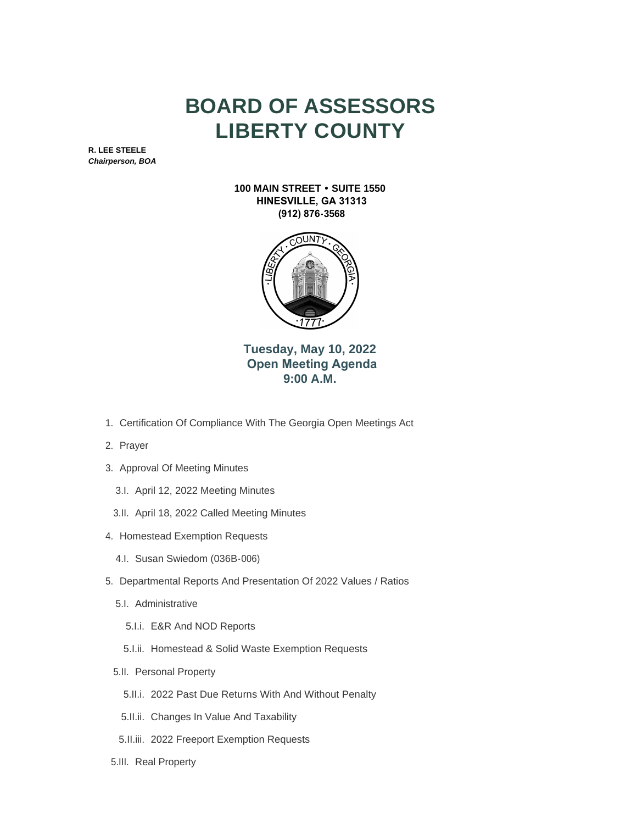## **BOARD OF ASSESSORS LIBERTY COUNTY**

**R. LEE STEELE** *Chairperson, BOA*

> **100 MAIN STREET • SUITE 1550 HINESVILLE, GA 31313 (912) 876-3568**



**Tuesday, May 10, 2022 Open Meeting Agenda 9:00 A.M.**

- 1. Certification Of Compliance With The Georgia Open Meetings Act
- 2. Prayer
- 3. Approval Of Meeting Minutes
	- 3.I. April 12, 2022 Meeting Minutes
	- 3.II. April 18, 2022 Called Meeting Minutes
- 4. Homestead Exemption Requests
	- 4.I. Susan Swiedom (036B-006)
- 5. Departmental Reports And Presentation Of 2022 Values / Ratios
	- 5.I. Administrative
		- E&R And NOD Reports 5.I.i.
		- 5.I.ii. Homestead & Solid Waste Exemption Requests
	- 5.II. Personal Property
		- 5.II.i. 2022 Past Due Returns With And Without Penalty
		- 5.II.ii. Changes In Value And Taxability
	- 5.II.iii. 2022 Freeport Exemption Requests
- 5.III. Real Property